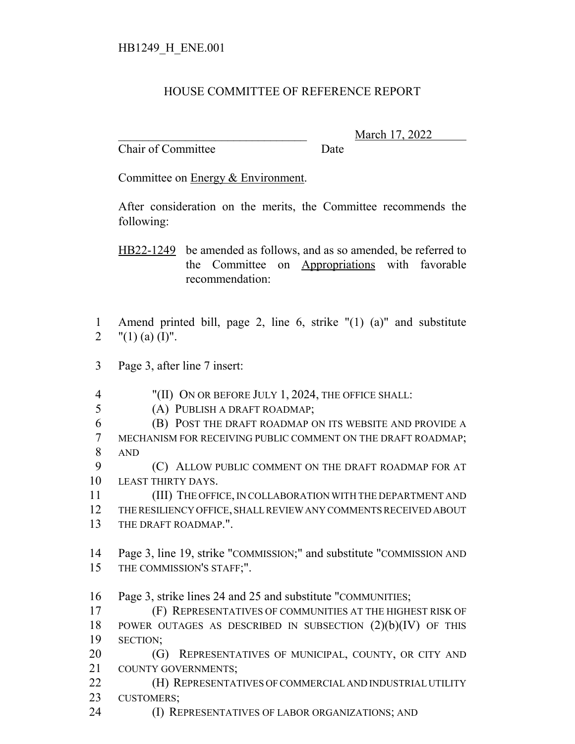## HOUSE COMMITTEE OF REFERENCE REPORT

Chair of Committee Date

\_\_\_\_\_\_\_\_\_\_\_\_\_\_\_\_\_\_\_\_\_\_\_\_\_\_\_\_\_\_\_ March 17, 2022

Committee on Energy & Environment.

After consideration on the merits, the Committee recommends the following:

HB22-1249 be amended as follows, and as so amended, be referred to the Committee on Appropriations with favorable recommendation:

 Amend printed bill, page 2, line 6, strike "(1) (a)" and substitute 2  $"(1)$  (a) (I)".

- Page 3, after line 7 insert:
- "(II) ON OR BEFORE JULY 1, 2024, THE OFFICE SHALL:
- (A) PUBLISH A DRAFT ROADMAP;
- (B) POST THE DRAFT ROADMAP ON ITS WEBSITE AND PROVIDE A MECHANISM FOR RECEIVING PUBLIC COMMENT ON THE DRAFT ROADMAP; AND

9 (C) ALLOW PUBLIC COMMENT ON THE DRAFT ROADMAP FOR AT LEAST THIRTY DAYS.

 (III) THE OFFICE, IN COLLABORATION WITH THE DEPARTMENT AND THE RESILIENCY OFFICE, SHALL REVIEW ANY COMMENTS RECEIVED ABOUT THE DRAFT ROADMAP.".

 Page 3, line 19, strike "COMMISSION;" and substitute "COMMISSION AND THE COMMISSION'S STAFF;".

Page 3, strike lines 24 and 25 and substitute "COMMUNITIES;

 (F) REPRESENTATIVES OF COMMUNITIES AT THE HIGHEST RISK OF 18 POWER OUTAGES AS DESCRIBED IN SUBSECTION  $(2)(b)(IV)$  OF THIS SECTION;

**(G) REPRESENTATIVES OF MUNICIPAL, COUNTY, OR CITY AND** COUNTY GOVERNMENTS;

- (H) REPRESENTATIVES OF COMMERCIAL AND INDUSTRIAL UTILITY CUSTOMERS;
- (I) REPRESENTATIVES OF LABOR ORGANIZATIONS; AND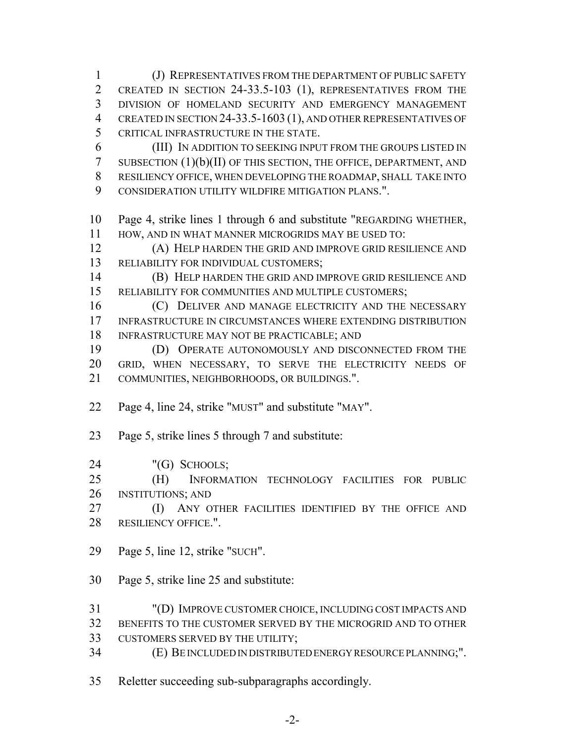(J) REPRESENTATIVES FROM THE DEPARTMENT OF PUBLIC SAFETY CREATED IN SECTION 24-33.5-103 (1), REPRESENTATIVES FROM THE DIVISION OF HOMELAND SECURITY AND EMERGENCY MANAGEMENT 4 CREATED IN SECTION 24-33.5-1603 (1), AND OTHER REPRESENTATIVES OF CRITICAL INFRASTRUCTURE IN THE STATE. (III) IN ADDITION TO SEEKING INPUT FROM THE GROUPS LISTED IN SUBSECTION (1)(b)(II) OF THIS SECTION, THE OFFICE, DEPARTMENT, AND RESILIENCY OFFICE, WHEN DEVELOPING THE ROADMAP, SHALL TAKE INTO CONSIDERATION UTILITY WILDFIRE MITIGATION PLANS.". Page 4, strike lines 1 through 6 and substitute "REGARDING WHETHER, HOW, AND IN WHAT MANNER MICROGRIDS MAY BE USED TO: (A) HELP HARDEN THE GRID AND IMPROVE GRID RESILIENCE AND RELIABILITY FOR INDIVIDUAL CUSTOMERS; (B) HELP HARDEN THE GRID AND IMPROVE GRID RESILIENCE AND RELIABILITY FOR COMMUNITIES AND MULTIPLE CUSTOMERS; (C) DELIVER AND MANAGE ELECTRICITY AND THE NECESSARY INFRASTRUCTURE IN CIRCUMSTANCES WHERE EXTENDING DISTRIBUTION INFRASTRUCTURE MAY NOT BE PRACTICABLE; AND (D) OPERATE AUTONOMOUSLY AND DISCONNECTED FROM THE GRID, WHEN NECESSARY, TO SERVE THE ELECTRICITY NEEDS OF COMMUNITIES, NEIGHBORHOODS, OR BUILDINGS.". Page 4, line 24, strike "MUST" and substitute "MAY". Page 5, strike lines 5 through 7 and substitute: "(G) SCHOOLS; (H) INFORMATION TECHNOLOGY FACILITIES FOR PUBLIC INSTITUTIONS; AND **(I)** ANY OTHER FACILITIES IDENTIFIED BY THE OFFICE AND RESILIENCY OFFICE.". Page 5, line 12, strike "SUCH". Page 5, strike line 25 and substitute: "(D) IMPROVE CUSTOMER CHOICE, INCLUDING COST IMPACTS AND BENEFITS TO THE CUSTOMER SERVED BY THE MICROGRID AND TO OTHER CUSTOMERS SERVED BY THE UTILITY; (E) BE INCLUDED IN DISTRIBUTED ENERGY RESOURCE PLANNING;". Reletter succeeding sub-subparagraphs accordingly.